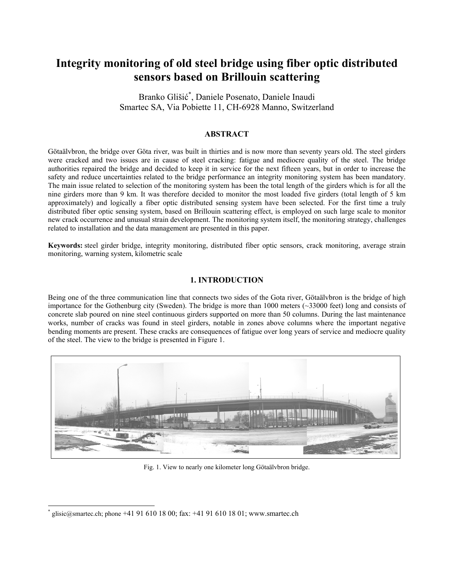# **Integrity monitoring of old steel bridge using fiber optic distributed sensors based on Brillouin scattering**

Branko Glišić \* , Daniele Posenato, Daniele Inaudi Smartec SA, Via Pobiette 11, CH-6928 Manno, Switzerland

# **ABSTRACT**

Götaälvbron, the bridge over Göta river, was built in thirties and is now more than seventy years old. The steel girders were cracked and two issues are in cause of steel cracking: fatigue and mediocre quality of the steel. The bridge authorities repaired the bridge and decided to keep it in service for the next fifteen years, but in order to increase the safety and reduce uncertainties related to the bridge performance an integrity monitoring system has been mandatory. The main issue related to selection of the monitoring system has been the total length of the girders which is for all the nine girders more than 9 km. It was therefore decided to monitor the most loaded five girders (total length of 5 km approximately) and logically a fiber optic distributed sensing system have been selected. For the first time a truly distributed fiber optic sensing system, based on Brillouin scattering effect, is employed on such large scale to monitor new crack occurrence and unusual strain development. The monitoring system itself, the monitoring strategy, challenges related to installation and the data management are presented in this paper.

**Keywords:** steel girder bridge, integrity monitoring, distributed fiber optic sensors, crack monitoring, average strain monitoring, warning system, kilometric scale

## **1. INTRODUCTION**

Being one of the three communication line that connects two sides of the Gota river, Götaälvbron is the bridge of high importance for the Gothenburg city (Sweden). The bridge is more than 1000 meters (~33000 feet) long and consists of concrete slab poured on nine steel continuous girders supported on more than 50 columns. During the last maintenance works, number of cracks was found in steel girders, notable in zones above columns where the important negative bending moments are present. These cracks are consequences of fatigue over long years of service and mediocre quality of the steel. The view to the bridge is presented in Figure 1.



Fig. 1. View to nearly one kilometer long Götaälvbron bridge.

l

<sup>\*</sup> glisic@smartec.ch; phone +41 91 610 18 00; fax: +41 91 610 18 01; www.smartec.ch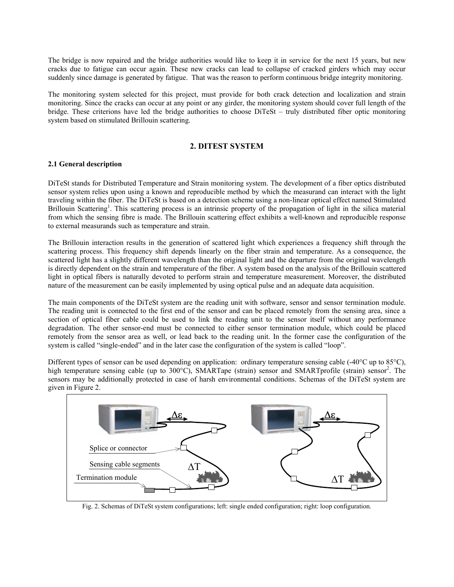The bridge is now repaired and the bridge authorities would like to keep it in service for the next 15 years, but new cracks due to fatigue can occur again. These new cracks can lead to collapse of cracked girders which may occur suddenly since damage is generated by fatigue. That was the reason to perform continuous bridge integrity monitoring.

The monitoring system selected for this project, must provide for both crack detection and localization and strain monitoring. Since the cracks can occur at any point or any girder, the monitoring system should cover full length of the bridge. These criterions have led the bridge authorities to choose DiTeSt – truly distributed fiber optic monitoring system based on stimulated Brillouin scattering.

## **2. DITEST SYSTEM**

#### **2.1 General description**

DiTeSt stands for Distributed Temperature and Strain monitoring system. The development of a fiber optics distributed sensor system relies upon using a known and reproducible method by which the measurand can interact with the light traveling within the fiber. The DiTeSt is based on a detection scheme using a non-linear optical effect named Stimulated Brillouin Scattering<sup>1</sup>. This scattering process is an intrinsic property of the propagation of light in the silica material from which the sensing fibre is made. The Brillouin scattering effect exhibits a well-known and reproducible response to external measurands such as temperature and strain.

The Brillouin interaction results in the generation of scattered light which experiences a frequency shift through the scattering process. This frequency shift depends linearly on the fiber strain and temperature. As a consequence, the scattered light has a slightly different wavelength than the original light and the departure from the original wavelength is directly dependent on the strain and temperature of the fiber. A system based on the analysis of the Brillouin scattered light in optical fibers is naturally devoted to perform strain and temperature measurement. Moreover, the distributed nature of the measurement can be easily implemented by using optical pulse and an adequate data acquisition.

The main components of the DiTeSt system are the reading unit with software, sensor and sensor termination module. The reading unit is connected to the first end of the sensor and can be placed remotely from the sensing area, since a section of optical fiber cable could be used to link the reading unit to the sensor itself without any performance degradation. The other sensor-end must be connected to either sensor termination module, which could be placed remotely from the sensor area as well, or lead back to the reading unit. In the former case the configuration of the system is called "single-ended" and in the later case the configuration of the system is called "loop".

Different types of sensor can be used depending on application: ordinary temperature sensing cable (-40°C up to 85°C), high temperature sensing cable (up to 300°C), SMARTape (strain) sensor and SMARTprofile (strain) sensor<sup>2</sup>. The sensors may be additionally protected in case of harsh environmental conditions. Schemas of the DiTeSt system are given in Figure 2.



Fig. 2. Schemas of DiTeSt system configurations; left: single ended configuration; right: loop configuration.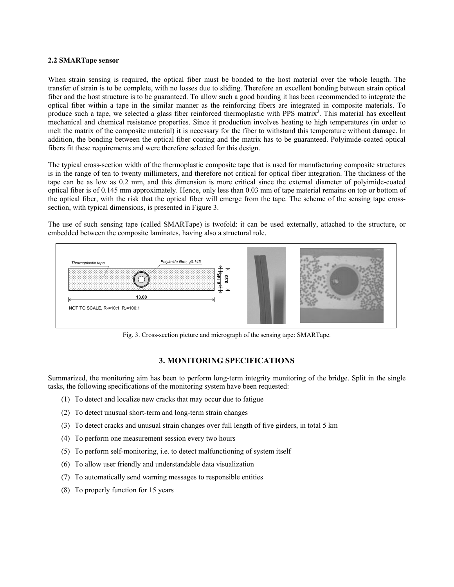#### **2.2 SMARTape sensor**

When strain sensing is required, the optical fiber must be bonded to the host material over the whole length. The transfer of strain is to be complete, with no losses due to sliding. Therefore an excellent bonding between strain optical fiber and the host structure is to be guaranteed. To allow such a good bonding it has been recommended to integrate the optical fiber within a tape in the similar manner as the reinforcing fibers are integrated in composite materials. To produce such a tape, we selected a glass fiber reinforced thermoplastic with PPS matrix<sup>3</sup>. This material has excellent mechanical and chemical resistance properties. Since it production involves heating to high temperatures (in order to melt the matrix of the composite material) it is necessary for the fiber to withstand this temperature without damage. In addition, the bonding between the optical fiber coating and the matrix has to be guaranteed. Polyimide-coated optical fibers fit these requirements and were therefore selected for this design.

The typical cross-section width of the thermoplastic composite tape that is used for manufacturing composite structures is in the range of ten to twenty millimeters, and therefore not critical for optical fiber integration. The thickness of the tape can be as low as 0.2 mm, and this dimension is more critical since the external diameter of polyimide-coated optical fiber is of 0.145 mm approximately. Hence, only less than 0.03 mm of tape material remains on top or bottom of the optical fiber, with the risk that the optical fiber will emerge from the tape. The scheme of the sensing tape crosssection, with typical dimensions, is presented in Figure 3.

The use of such sensing tape (called SMARTape) is twofold: it can be used externally, attached to the structure, or embedded between the composite laminates, having also a structural role.



Fig. 3. Cross-section picture and micrograph of the sensing tape: SMARTape.

# **3. MONITORING SPECIFICATIONS**

Summarized, the monitoring aim has been to perform long-term integrity monitoring of the bridge. Split in the single tasks, the following specifications of the monitoring system have been requested:

- (1) To detect and localize new cracks that may occur due to fatigue
- (2) To detect unusual short-term and long-term strain changes
- (3) To detect cracks and unusual strain changes over full length of five girders, in total 5 km
- (4) To perform one measurement session every two hours
- (5) To perform self-monitoring, i.e. to detect malfunctioning of system itself
- (6) To allow user friendly and understandable data visualization
- (7) To automatically send warning messages to responsible entities
- (8) To properly function for 15 years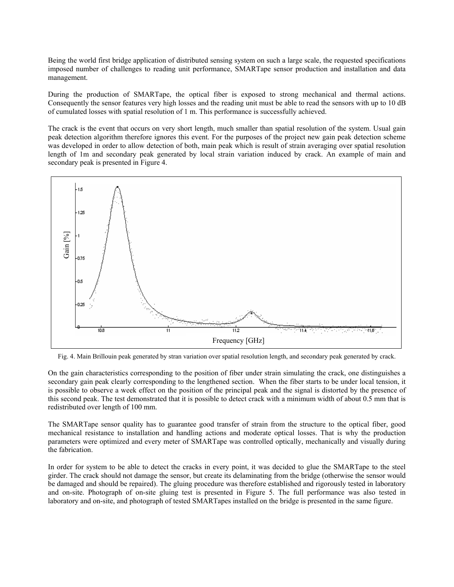Being the world first bridge application of distributed sensing system on such a large scale, the requested specifications imposed number of challenges to reading unit performance, SMARTape sensor production and installation and data management.

During the production of SMARTape, the optical fiber is exposed to strong mechanical and thermal actions. Consequently the sensor features very high losses and the reading unit must be able to read the sensors with up to 10 dB of cumulated losses with spatial resolution of 1 m. This performance is successfully achieved.

The crack is the event that occurs on very short length, much smaller than spatial resolution of the system. Usual gain peak detection algorithm therefore ignores this event. For the purposes of the project new gain peak detection scheme was developed in order to allow detection of both, main peak which is result of strain averaging over spatial resolution length of 1m and secondary peak generated by local strain variation induced by crack. An example of main and secondary peak is presented in Figure 4.



Fig. 4. Main Brillouin peak generated by stran variation over spatial resolution length, and secondary peak generated by crack.

On the gain characteristics corresponding to the position of fiber under strain simulating the crack, one distinguishes a secondary gain peak clearly corresponding to the lengthened section. When the fiber starts to be under local tension, it is possible to observe a week effect on the position of the principal peak and the signal is distorted by the presence of this second peak. The test demonstrated that it is possible to detect crack with a minimum width of about 0.5 mm that is redistributed over length of 100 mm.

The SMARTape sensor quality has to guarantee good transfer of strain from the structure to the optical fiber, good mechanical resistance to installation and handling actions and moderate optical losses. That is why the production parameters were optimized and every meter of SMARTape was controlled optically, mechanically and visually during the fabrication.

In order for system to be able to detect the cracks in every point, it was decided to glue the SMARTape to the steel girder. The crack should not damage the sensor, but create its delaminating from the bridge (otherwise the sensor would be damaged and should be repaired). The gluing procedure was therefore established and rigorously tested in laboratory and on-site. Photograph of on-site gluing test is presented in Figure 5. The full performance was also tested in laboratory and on-site, and photograph of tested SMARTapes installed on the bridge is presented in the same figure.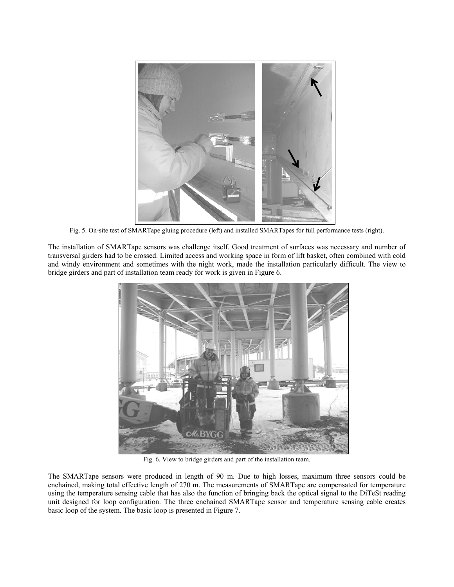

Fig. 5. On-site test of SMARTape gluing procedure (left) and installed SMARTapes for full performance tests (right).

The installation of SMARTape sensors was challenge itself. Good treatment of surfaces was necessary and number of transversal girders had to be crossed. Limited access and working space in form of lift basket, often combined with cold and windy environment and sometimes with the night work, made the installation particularly difficult. The view to bridge girders and part of installation team ready for work is given in Figure 6.



Fig. 6. View to bridge girders and part of the installation team.

The SMARTape sensors were produced in length of 90 m. Due to high losses, maximum three sensors could be enchained, making total effective length of 270 m. The measurements of SMARTape are compensated for temperature using the temperature sensing cable that has also the function of bringing back the optical signal to the DiTeSt reading unit designed for loop configuration. The three enchained SMARTape sensor and temperature sensing cable creates basic loop of the system. The basic loop is presented in Figure 7.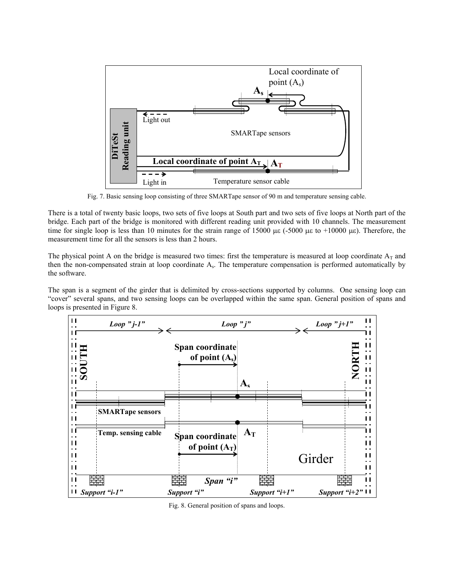

Fig. 7. Basic sensing loop consisting of three SMARTape sensor of 90 m and temperature sensing cable.

There is a total of twenty basic loops, two sets of five loops at South part and two sets of five loops at North part of the bridge. Each part of the bridge is monitored with different reading unit provided with 10 channels. The measurement time for single loop is less than 10 minutes for the strain range of 15000 με (-5000 με to +10000 με). Therefore, the measurement time for all the sensors is less than 2 hours.

The physical point A on the bridge is measured two times: first the temperature is measured at loop coordinate  $A_T$  and then the non-compensated strain at loop coordinate As. The temperature compensation is performed automatically by the software.

The span is a segment of the girder that is delimited by cross-sections supported by columns. One sensing loop can "cover" several spans, and two sensing loops can be overlapped within the same span. General position of spans and loops is presented in Figure 8.



Fig. 8. General position of spans and loops.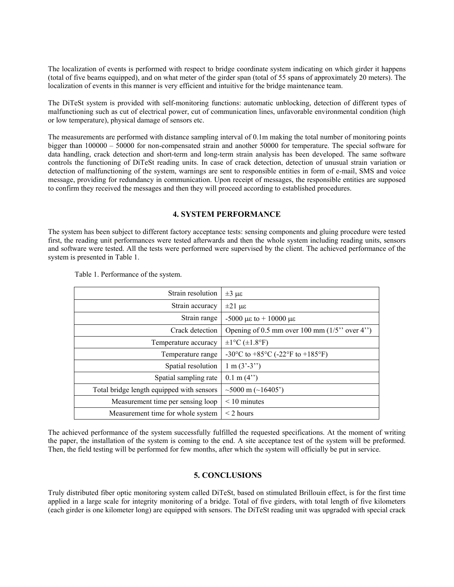The localization of events is performed with respect to bridge coordinate system indicating on which girder it happens (total of five beams equipped), and on what meter of the girder span (total of 55 spans of approximately 20 meters). The localization of events in this manner is very efficient and intuitive for the bridge maintenance team.

The DiTeSt system is provided with self-monitoring functions: automatic unblocking, detection of different types of malfunctioning such as cut of electrical power, cut of communication lines, unfavorable environmental condition (high or low temperature), physical damage of sensors etc.

The measurements are performed with distance sampling interval of 0.1m making the total number of monitoring points bigger than 100000 – 50000 for non-compensated strain and another 50000 for temperature. The special software for data handling, crack detection and short-term and long-term strain analysis has been developed. The same software controls the functioning of DiTeSt reading units. In case of crack detection, detection of unusual strain variation or detection of malfunctioning of the system, warnings are sent to responsible entities in form of e-mail, SMS and voice message, providing for redundancy in communication. Upon receipt of messages, the responsible entities are supposed to confirm they received the messages and then they will proceed according to established procedures.

## **4. SYSTEM PERFORMANCE**

The system has been subject to different factory acceptance tests: sensing components and gluing procedure were tested first, the reading unit performances were tested afterwards and then the whole system including reading units, sensors and software were tested. All the tests were performed were supervised by the client. The achieved performance of the system is presented in Table 1.

| Strain resolution                         | $\pm 3 \mu \epsilon$                           |
|-------------------------------------------|------------------------------------------------|
| Strain accuracy                           | $\pm 21 \mu\epsilon$                           |
| Strain range                              | $-5000 \mu\epsilon$ to $+ 10000 \mu\epsilon$   |
| Crack detection                           | Opening of 0.5 mm over 100 mm $(1/5$ " over 4" |
| Temperature accuracy                      | $\pm 1$ °C ( $\pm 1.8$ °F)                     |
| Temperature range                         | -30°C to +85°C (-22°F to +185°F)               |
| Spatial resolution                        | $1 m (3'-3'')$                                 |
| Spatial sampling rate                     | $0.1$ m $(4")$                                 |
| Total bridge length equipped with sensors | $\sim$ 5000 m ( $\sim$ 16405')                 |
| Measurement time per sensing loop         | $< 10$ minutes                                 |
| Measurement time for whole system         | $<$ 2 hours                                    |

Table 1. Performance of the system.

The achieved performance of the system successfully fulfilled the requested specifications. At the moment of writing the paper, the installation of the system is coming to the end. A site acceptance test of the system will be preformed. Then, the field testing will be performed for few months, after which the system will officially be put in service.

#### **5. CONCLUSIONS**

Truly distributed fiber optic monitoring system called DiTeSt, based on stimulated Brillouin effect, is for the first time applied in a large scale for integrity monitoring of a bridge. Total of five girders, with total length of five kilometers (each girder is one kilometer long) are equipped with sensors. The DiTeSt reading unit was upgraded with special crack